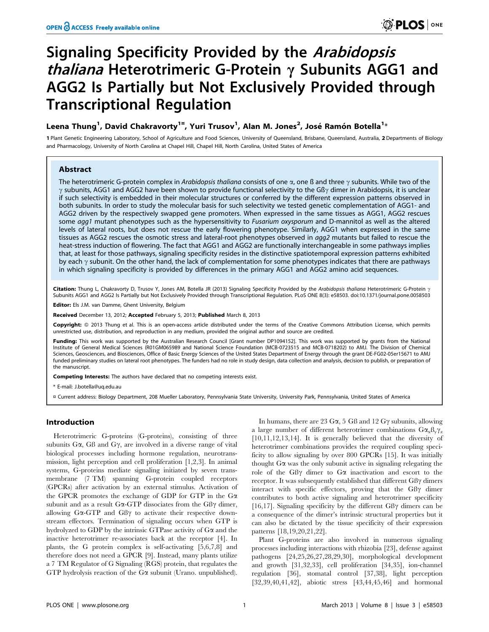# Signaling Specificity Provided by the Arabidopsis thaliana Heterotrimeric G-Protein *γ* Subunits AGG1 and AGG2 Is Partially but Not Exclusively Provided through Transcriptional Regulation

## Leena Thung<sup>1</sup>, David Chakravorty<sup>1¤</sup>, Yuri Trusov<sup>1</sup>, Alan M. Jones<sup>2</sup>, José Ramón Botella<sup>1</sup>\*

1 Plant Genetic Engineering Laboratory, School of Agriculture and Food Sciences, University of Queensland, Brisbane, Queensland, Australia, 2 Departments of Biology and Pharmacology, University of North Carolina at Chapel Hill, Chapel Hill, North Carolina, United States of America

## Abstract

The heterotrimeric G-protein complex in Arabidopsis thaliana consists of one  $\alpha$ , one ß and three  $\gamma$  subunits. While two of the  $\gamma$  subunits, AGG1 and AGG2 have been shown to provide functional selectivity to the Gß $\gamma$  dimer in Arabidopsis, it is unclear if such selectivity is embedded in their molecular structures or conferred by the different expression patterns observed in both subunits. In order to study the molecular basis for such selectivity we tested genetic complementation of AGG1- and AGG2 driven by the respectively swapped gene promoters. When expressed in the same tissues as AGG1, AGG2 rescues some agg1 mutant phenotypes such as the hypersensitivity to Fusarium oxysporum and D-mannitol as well as the altered levels of lateral roots, but does not rescue the early flowering phenotype. Similarly, AGG1 when expressed in the same tissues as AGG2 rescues the osmotic stress and lateral-root phenotypes observed in agg2 mutants but failed to rescue the heat-stress induction of flowering. The fact that AGG1 and AGG2 are functionally interchangeable in some pathways implies that, at least for those pathways, signaling specificity resides in the distinctive spatiotemporal expression patterns exhibited by each  $\gamma$  subunit. On the other hand, the lack of complementation for some phenotypes indicates that there are pathways in which signaling specificity is provided by differences in the primary AGG1 and AGG2 amino acid sequences.

Citation: Thung L, Chakravorty D, Trusov Y, Jones AM, Botella JR (2013) Signaling Specificity Provided by the Arabidopsis thaliana Heterotrimeric G-Protein  $\gamma$ Subunits AGG1 and AGG2 Is Partially but Not Exclusively Provided through Transcriptional Regulation. PLoS ONE 8(3): e58503. doi:10.1371/journal.pone.0058503

Editor: Els J.M. van Damme, Ghent University, Belgium

Received December 13, 2012; Accepted February 5, 2013; Published March 8, 2013

Copyright: @ 2013 Thung et al. This is an open-access article distributed under the terms of the Creative Commons Attribution License, which permits unrestricted use, distribution, and reproduction in any medium, provided the original author and source are credited.

Funding: This work was supported by the Australian Research Council [Grant number DP1094152]. This work was supported by grants from the National Institute of General Medical Sciences (R01GM065989 and National Science Foundation (MCB-0723515 and MCB-0718202) to AMJ. The Division of Chemical Sciences, Geosciences, and Biosciences, Office of Basic Energy Sciences of the United States Department of Energy through the grant DE-FG02-05er15671 to AMJ funded preliminary studies on lateral root phenotypes. The funders had no role in study design, data collection and analysis, decision to publish, or preparation of the manuscript.

Competing Interests: The authors have declared that no competing interests exist.

\* E-mail: J.botella@uq.edu.au

¤ Current address: Biology Department, 208 Mueller Laboratory, Pennsylvania State University, University Park, Pennsylvania, United States of America

## Introduction

Heterotrimeric G-proteins (G-proteins), consisting of three subunits  $G\alpha$ ,  $G\beta$  and  $G\gamma$ , are involved in a diverse range of vital biological processes including hormone regulation, neurotransmission, light perception and cell proliferation [1,2,3]. In animal systems, G-proteins mediate signaling initiated by seven transmembrane (7 TM) spanning G-protein coupled receptors (GPCRs) after activation by an external stimulus. Activation of the GPCR promotes the exchange of GDP for GTP in the  $G\alpha$ subunit and as a result G $\alpha$ -GTP dissociates from the GB $\gamma$  dimer, allowing  $G\alpha$ -GTP and  $GB\gamma$  to activate their respective downstream effectors. Termination of signaling occurs when GTP is hydrolyzed to GDP by the intrinsic GTPase activity of  $G\alpha$  and the inactive heterotrimer re-associates back at the receptor [4]. In plants, the G protein complex is self-activating [5,6,7,8] and therefore does not need a GPCR [9]. Instead, many plants utilize a 7 TM Regulator of G Signaling (RGS) protein, that regulates the GTP hydrolysis reaction of the  $G\alpha$  subunit (Urano. unpublished).

In humans, there are 23 G $\alpha$ , 5 GB and 12 G $\gamma$  subunits, allowing a large number of different heterotrimer combinations  $G\alpha_x\beta_y\gamma_z$ [10,11,12,13,14]. It is generally believed that the diversity of heterotrimer combinations provides the required coupling specificity to allow signaling by over 800 GPCRs [15]. It was initially thought  $G\alpha$  was the only subunit active in signaling relegating the role of the GB $\gamma$  dimer to G $\alpha$  inactivation and escort to the receptor. It was subsequently established that different  $G\beta\gamma$  dimers interact with specific effectors, proving that the  $GB\gamma$  dimer contributes to both active signaling and heterotrimer specificity [16,17]. Signaling specificity by the different  $\text{GB}\gamma$  dimers can be a consequence of the dimer's intrinsic structural properties but it can also be dictated by the tissue specificity of their expression patterns [18,19,20,21,22].

Plant G-proteins are also involved in numerous signaling processes including interactions with rhizobia [23], defense against pathogens [24,25,26,27,28,29,30], morphological development and growth [31,32,33], cell proliferation [34,35], ion-channel regulation [36], stomatal control [37,38], light perception [32,39,40,41,42], abiotic stress [43,44,45,46] and hormonal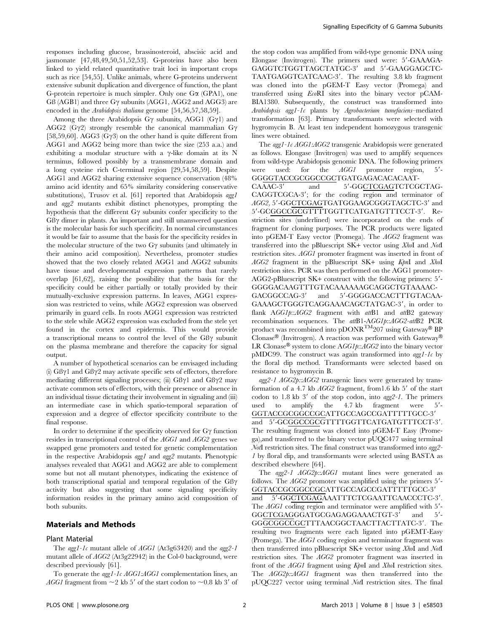responses including glucose, brassinosteroid, abscisic acid and jasmonate [47,48,49,50,51,52,53]. G-proteins have also been linked to yield related quantitative trait loci in important crops such as rice [54,55]. Unlike animals, where G-proteins underwent extensive subunit duplication and divergence of function, the plant G-protein repertoire is much simpler. Only one Ga (GPA1), one  $G\beta$  (AGB1) and three G $\gamma$  subunits (AGG1, AGG2 and AGG3) are encoded in the *Arabidopsis thaliana* genome [54,56,57,58,59].

Among the three Arabidopsis G $\gamma$  subunits, AGG1 (G $\gamma$ 1) and AGG2 (G $\gamma$ 2) strongly resemble the canonical mammalian G $\gamma$ [58,59,60]. AGG3  $(G\gamma3)$  on the other hand is quite different from AGG1 and AGG2 being more than twice the size (253 a.a.) and exhibiting a modular structure with a  $\gamma$ -like domain at its N terminus, followed possibly by a transmembrane domain and a long cysteine rich C-terminal region [29,54,58,59]. Despite AGG1 and AGG2 sharing extensive sequence conservation (48% amino acid identity and 65% similarity considering conservative substitutions), Trusov et al. [61] reported that Arabidopsis aggl and agg2 mutants exhibit distinct phenotypes, prompting the hypothesis that the different  $G\gamma$  subunits confer specificity to the  $GB\gamma$  dimer in plants. An important and still unanswered question is the molecular basis for such specificity. In normal circumstances it would be fair to assume that the basis for the specificity resides in the molecular structure of the two  $G\gamma$  subunits (and ultimately in their amino acid composition). Nevertheless, promoter studies showed that the two closely related AGG1 and AGG2 subunits have tissue and developmental expression patterns that rarely overlap [61,62], raising the possibility that the basis for the specificity could be either partially or totally provided by their mutually-exclusive expression patterns. In leaves, AGG1 expression was restricted to veins, while AGG2 expression was observed primarily in guard cells. In roots AGG1 expression was restricted to the stele while AGG2 expression was excluded from the stele yet found in the cortex and epidermis. This would provide a transcriptional means to control the level of the GB $\gamma$  subunit on the plasma membrane and therefore the capacity for signal output.

A number of hypothetical scenarios can be envisaged including (i)  $GB\gamma1$  and  $GB\gamma2$  may activate specific sets of effectors, therefore mediating different signaling processes; (ii)  $\text{GB}\gamma1$  and  $\text{GB}\gamma2$  may activate common sets of effectors, with their presence or absence in an individual tissue dictating their involvement in signaling and (iii) an intermediate case in which spatio-temporal separation of expression and a degree of effector specificity contribute to the final response.

In order to determine if the specificity observed for  $G\gamma$  function resides in transcriptional control of the AGG1 and AGG2 genes we swapped gene promoters and tested for genetic complementation in the respective Arabidopsis agg1 and agg2 mutants. Phenotypic analyses revealed that AGG1 and AGG2 are able to complement some but not all mutant phenotypes, indicating the existence of both transcriptional spatial and temporal regulation of the  $GB\gamma$ activity but also suggesting that some signaling specificity information resides in the primary amino acid composition of both subunits.

## Materials and Methods

#### Plant Material

The agg1-1c mutant allele of  $AGGI$  (At3g63420) and the agg2-1 mutant allele of AGG2 (At3g22942) in the Col-0 background, were described previously [61].

To generate the *agg1-1c AGG1:AGG1* complementation lines, an AGG1 fragment from  $\sim$ 2 kb 5' of the start codon to  $\sim$ 0.8 kb 3' of the stop codon was amplified from wild-type genomic DNA using Elongase (Invitrogen). The primers used were: 5'-GAAAGA-GAGGTCTGGTTAGCTATGC-3' and 5'-GAAGGAGCTC-TAATGAGGTCATCAAC-3'. The resulting 3.8 kb fragment was cloned into the pGEM-T Easy vector (Promega) and transferred using EcoRI sites into the binary vector pCAM-BIA1380. Subsequently, the construct was transformed into Arabidopsis agg1-1c plants by Agrobacterium tumefaciens–mediated transformation [63]. Primary transformants were selected with hygromycin B. At least ten independent homozygous transgenic lines were obtained.

The agg1-1c AGG1:AGG2 transgenic Arabidopsis were generated as follows. Elongase (Invitrogen) was used to amplify sequences from wild-type Arabidopsis genomic DNA. The following primers were used: for the  $AGGI$  promoter region,  $5'$ -GGGGTACCGCGGCCGCTGATGAGACACACAAT-

CAAAC-3' and 5'-GGCTCGAGTCTCGCTAG-CAGGTCGCA-3'; for the coding region and terminator of AGG2, 5'-GGCTCGAGTGATGGAAGCGGGTAGCTC-3' and 5'-GCGGCCGCGTTTTGGTTCATGATGTTTCCT-3'. Restriction sites (underlined) were incorporated on the ends of fragment for cloning purposes. The PCR products were ligated into pGEM-T Easy vector (Promega). The AGG2 fragment was transferred into the pBluescript SK+ vector using XhoI and NotI restriction sites. AGG1 promoter fragment was inserted in front of AGG2 fragment in the pBluescript SK+ using KpnI and XhoI restriction sites. PCR was then performed on the AGG1 promoter-AGG2-pBluescript SK+ construct with the following primers: 5'-GGGGACAAGTTTGTACAAAAAAGCAGGCTGTAAAAC-GACGGCCAG-3' and 5'-GGGGACCACTTTGTACAA-

GAAAGCTGGGTCAGGAAACAGCTATGAC-3', in order to flank AGG1p::AGG2 fragment with attB1 and attB2 gateway recombination sequences. The attB1-AGG1p::AGG2-attB2 PCR product was recombined into pDONR<sup>TM</sup>207 using Gateway<sup>®</sup> BP Clonase® (Invitrogen). A reaction was performed with Gateway® LR Clonase<sup>®</sup> system to clone  $AGGIp::AGG2$  into the binary vector pMDC99. The construct was again transformed into  $agg1-lc$  by the floral dip method. Transformants were selected based on resistance to hygromycin B.

agg2-1 AGG2p::AGG2 transgenic lines were generated by transformation of a 4.7 kb  $AGG2$  fragment, from 1.6 kb  $5'$  of the start codon to 1.8 kb  $3'$  of the stop codon, into  $agg2-I$ . The primers used to amplify the  $4.7 \text{ kb}$  fragment were  $5'$ -GGTACCGCGGCCGCATTGCCAGCCGATTTTTGCC-3'

and 5'-GCGGCCGCGTTTTGGTTCATGATGTTTCCT-3'. The resulting fragment was cloned into pGEM-T Easy (Promega),and transferred to the binary vector pUQC477 using terminal NotI restriction sites. The final construct was transformed into agg2- 1 by floral dip, and transformants were selected using BASTA as described elsewhere [64].

The agg2-1 AGG2p::AGG1 mutant lines were generated as follows. The  $AGG2$  promoter was amplified using the primers  $5'$ -GGTACCGCGGCCGCATTGCCAGCCGATTTTTGCC-3' and 5'-GGCTCGAGAAATTTCTCGAATTCAACCCTC-3'. The AGG1 coding region and terminator were amplified with 5'-GGCTCGAGGGATGCGAGAGGAAACTGT-3' and 5'-GGGCGGCCGCTTTAACGGCTAACTTACTTATC-3'. The resulting two fragments were each ligated into pGEMT-Easy (Promega). The AGG1 coding region and terminator fragment was then transferred into pBluescript SK+ vector using XhoI and NotI restriction sites. The AGG2 promoter fragment was inserted in front of the AGG1 fragment using KpnI and XhoI restriction sites. The AGG2p::AGG1 fragment was then transferred into the pUQC227 vector using terminal NotI restriction sites. The final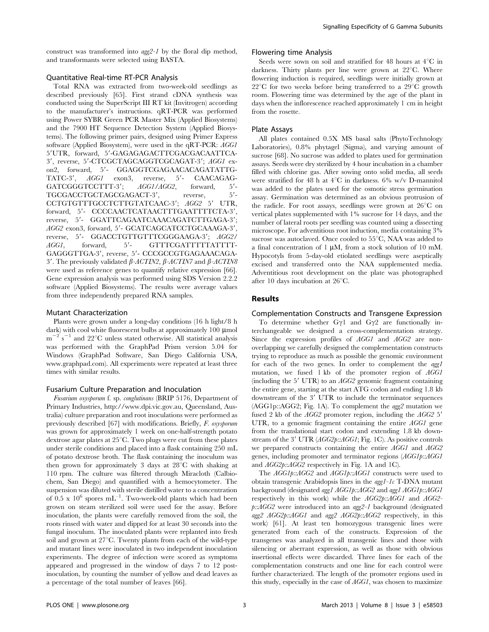construct was transformed into agg2-1 by the floral dip method, and transformants were selected using BASTA.

## Quantitative Real-time RT-PCR Analysis

Total RNA was extracted from two-week-old seedlings as described previously [65]. First strand cDNA synthesis was conducted using the SuperScript III RT kit (Invitrogen) according to the manufacturer's instructions. qRT-PCR was performed using Power SYBR Green PCR Master Mix (Applied Biosystems) and the 7900 HT Sequence Detection System (Applied Biosystems). The following primer pairs, designed using Primer Express software (Applied Biosystem), were used in the qRT-PCR: AGG1 5'UTR, forward, 5'-GAGAGAGACTTCGACGACAATTCA-3', reverse, 5'-CTCGCTAGCAGGTCGCAGAT-3'; AGG1 exon2, forward, 5'- GGAGGTCGAGAACACAGATATTG-TATC-3', AGG1 exon3, reverse, 5'- CAACAGAG-<br>GATCGGGTCCTTT-3'; AGG1/AGG2, forward, 5'-GATCGGGTCCTTT-3';  $AGGI/AGG2$ , forward, TGCGACCTGCTAGCGAGACT-3', reverse, 5'-CCTGTGTTTGCCTCTTGTATCAAC-3'; AGG2 5' UTR, forward, 5'- CCCCAACTCATAACTTTGAATTTTCTA-3', reverse, 5'- GGATTCAGAATCAAACAGATCTTGAGA-3'; AGG2 exon3, forward, 5'- GCATCAGCATCCTGCAAAGA-3', reverse, 5'- GGACCTGTTGTTTCGGGAAGA-3'; AGG2/ AGG1, forward, 5'- GTTTCGATTTTTATTTT-GAGGGTTGA-3', reverse, 5'- CCCGCCGTGAGAAACAGA-3'. The previously validated  $\beta$ -ACTIN2,  $\beta$ -ACTIN7 and  $\beta$ -ACTIN8 were used as reference genes to quantify relative expression [66]. Gene expression analysis was performed using SDS Version 2.2.2 software (Applied Biosystems). The results were average values from three independently prepared RNA samples.

#### Mutant Characterization

Plants were grown under a long-day conditions (16 h light/8 h dark) with cool white fluorescent bulbs at approximately 100 µmol  $m^{-2}$  s<sup>-1</sup> and 22°C unless stated otherwise. All statistical analysis was performed with the GraphPad Prism version 5.04 for Windows (GraphPad Software, San Diego California USA, www.graphpad.com). All experiments were repeated at least three times with similar results.

#### Fusarium Culture Preparation and Inoculation

Fusarium oxysporum f. sp. conglutinans (BRIP 5176, Department of Primary Industries, http://www.dpi.vic.gov.au, Queensland, Australia) culture preparation and root inoculations were performed as previously described [67] with modifications. Briefly, F. oxysporum was grown for approximately 1 week on one-half-strength potato dextrose agar plates at  $25^{\circ}$ C. Two plugs were cut from these plates under sterile conditions and placed into a flask containing 250 mL of potato dextrose broth. The flask containing the inoculum was then grown for approximately 3 days at  $28^{\circ}$ C with shaking at 110 rpm. The culture was filtered through Miracloth (Calbiochem, San Diego) and quantified with a hemocytometer. The suspension was diluted with sterile distilled water to a concentration of  $0.5 \times 10^6$  spores mL<sup>-1</sup>. Two-week-old plants which had been grown on steam sterilized soil were used for the assay. Before inoculation, the plants were carefully removed from the soil, the roots rinsed with water and dipped for at least 30 seconds into the fungal inoculum. The inoculated plants were replanted into fresh soil and grown at  $27^{\circ}$ C. Twenty plants from each of the wild-type and mutant lines were inoculated in two independent inoculation experiments. The degree of infection were scored as symptoms appeared and progressed in the window of days 7 to 12 postinoculation, by counting the number of yellow and dead leaves as a percentage of the total number of leaves [66].

## Flowering time Analysis

Seeds were sown on soil and stratified for 48 hours at  $4^{\circ}$ C in darkness. Thirty plants per line were grown at  $22^{\circ}$ C. Where flowering induction is required, seedlings were initially grown at  $22^{\circ}$ C for two weeks before being transferred to a  $29^{\circ}$ C growth room. Flowering time was determined by the age of the plant in days when the inflorescence reached approximately 1 cm in height from the rosette.

#### Plate Assays

All plates contained 0.5X MS basal salts (PhytoTechnology Laboratories), 0.8% phytagel (Sigma), and varying amount of sucrose [68]. No sucrose was added to plates used for germination assays. Seeds were dry sterilized by 4 hour incubation in a chamber filled with chlorine gas. After sowing onto solid media, all seeds were stratified for 48 h at  $4^{\circ}$ C in darkness. 6% w/v D-mannitol was added to the plates used for the osmotic stress germination assay. Germination was determined as an obvious protrusion of the radicle. For root assays, seedlings were grown at  $26^{\circ}$ C on vertical plates supplemented with 1% sucrose for 14 days, and the number of lateral roots per seedling was counted using a dissecting microscope. For adventitious root induction, media containing 3% sucrose was autoclaved. Once cooled to  $55^{\circ}$ C, NAA was added to a final concentration of 1  $\mu$ M, from a stock solution of 10 mM. Hypocotyls from 5-day-old etiolated seedlings were aseptically excised and transferred onto the NAA supplemented media. Adventitious root development on the plate was photographed after 10 days incubation at  $26^{\circ}$ C.

#### Results

#### Complementation Constructs and Transgene Expression

To determine whether  $Gyl$  and  $G\gamma2$  are functionally interchangeable we designed a cross-complementation strategy. Since the expression profiles of AGG1 and AGG2 are nonoverlapping we carefully designed the complementation constructs trying to reproduce as much as possible the genomic environment for each of the two genes. In order to complement the agg1 mutation, we fused 1 kb of the promoter region of AGG1 (including the 5<sup> $\prime$ </sup> UTR) to an *AGG2* genomic fragment containing the entire gene, starting at the start ATG codon and ending 1.8 kb downstream of the 3' UTR to include the terminator sequences (AGG1p::AGG2; Fig. 1A). To complement the agg2 mutation we fused 2 kb of the  $AGG2$  promoter region, including the  $AGG2$  5' UTR, to a genomic fragment containing the entire AGG1 gene from the translational start codon and extending 1.8 kb downstream of the 3' UTR  $(AGG2p::AGGI; Fig. 1C)$ . As positive controls we prepared constructs containing the entire AGG1 and AGG2 genes, including promoter and terminator regions (AGG1p::AGG1 and AGG2p::AGG2 respectively in Fig. 1A and 1C).

The AGG1p::AGG2 and AGG1p::AGG1 constructs were used to obtain transgenic Arabidopsis lines in the  $agg1-Ic$  T-DNA mutant background (designated agg1 AGG1p::AGG2 and agg1 AGG1p::AGG1 respectively in this work) while the AGG2p::AGG1 and AGG2  $p:AGG2$  were introduced into an  $agg2-I$  background (designated agg2 AGG2p::AGG1 and agg2 AGG2p::AGG2 respectively, in this work) [61]. At least ten homozygous transgenic lines were generated from each of the constructs. Expression of the transgenes was analyzed in all transgenic lines and those with silencing or aberrant expression, as well as those with obvious insertional effects were discarded. Three lines for each of the complementation constructs and one line for each control were further characterized. The length of the promoter regions used in this study, especially in the case of AGG1, was chosen to maximize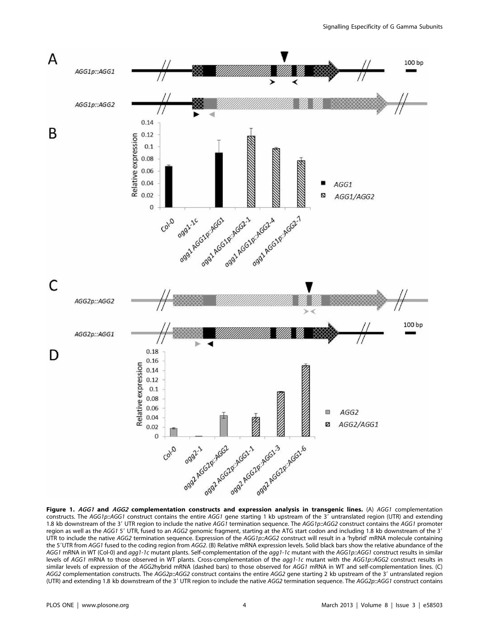

Figure 1. AGG1 and AGG2 complementation constructs and expression analysis in transgenic lines. (A) AGG1 complementation constructs. The AGG1p::AGG1 construct contains the entire AGG1 gene starting 1 kb upstream of the  $3'$  untranslated region (UTR) and extending 1.8 kb downstream of the 3' UTR region to include the native AGG1 termination sequence. The AGG1p::AGG2 construct contains the AGG1 promoter region as well as the AGG1 5' UTR, fused to an AGG2 genomic fragment, starting at the ATG start codon and including 1.8 kb downstream of the 3' UTR to include the native AGG2 termination sequence. Expression of the AGG1p::AGG2 construct will result in a 'hybrid' mRNA molecule containing the 5'UTR from AGG1 fused to the coding region from AGG2. (B) Relative mRNA expression levels. Solid black bars show the relative abundance of the AGG1 mRNA in WT (Col-0) and agg1-1c mutant plants. Self-complementation of the agg1-1c mutant with the AGG1p::AGG1 construct results in similar levels of AGG1 mRNA to those observed in WT plants. Cross-complementation of the agg1-1c mutant with the AGG1p::AGG2 construct results in similar levels of expression of the AGG2hybrid mRNA (dashed bars) to those observed for AGG1 mRNA in WT and self-complementation lines. (C) AGG2 complementation constructs. The AGG2p::AGG2 construct contains the entire AGG2 gene starting 2 kb upstream of the 3' untranslated region (UTR) and extending 1.8 kb downstream of the 3' UTR region to include the native AGG2 termination sequence. The AGG2p::AGG1 construct contains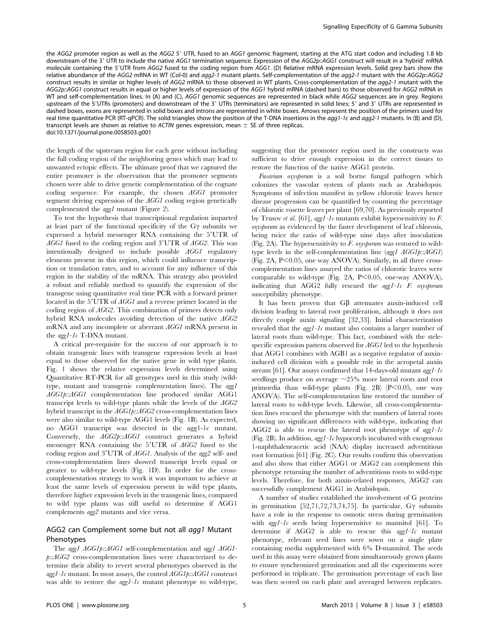the AGG2 promoter region as well as the AGG2 5' UTR, fused to an AGG1 genomic fragment, starting at the ATG start codon and including 1.8 kb downstream of the 3' UTR to include the native AGG1 termination sequence. Expression of the AGG2p::AGG1 construct will result in a 'hybrid' mRNA molecule containing the 5'UTR from AGG2 fused to the coding region from AGG1. (D) Relative mRNA expression levels. Solid grey bars show the relative abundance of the AGG2 mRNA in WT (Col-0) and agg2-1 mutant plants. Self-complementation of the agg2-1 mutant with the AGG2p::AGG2 construct results in similar or higher levels of AGG2 mRNA to those observed in WT plants. Cross-complementation of the agg2-1 mutant with the AGG2p::AGG1 construct results in equal or higher levels of expression of the AGG1 hybrid mRNA (dashed bars) to those observed for AGG2 mRNA in WT and self-complementation lines. In (A) and (C), AGG1 genomic sequences are represented in black while AGG2 sequences are in grey. Regions upstream of the 5'UTRs (promoters) and downstream of the 3' UTRs (terminators) are represented in solid lines; 5' and 3' UTRs are represented in dashed boxes, exons are represented in solid boxes and introns are represented in white boxes. Arrows represent the position of the primers used for real time quantitative PCR (RT-qPCR). The solid triangles show the position of the T-DNA insertions in the agg1-1c and agg2-1 mutants. In (B) and (D), transcript levels are shown as relative to ACTIN genes expression, mean  $\pm$  SE of three replicas. doi:10.1371/journal.pone.0058503.g001

the length of the upstream region for each gene without including the full coding region of the neighboring genes which may lead to unwanted ectopic effects. The ultimate proof that we captured the entire promoter is the observation that the promoter segments chosen were able to drive genetic complementation of the cognate coding sequence. For example, the chosen AGG1 promoter segment driving expression of the AGG1 coding region genetically complemented the agg1 mutant (Figure 2).

To test the hypothesis that transcriptional regulation imparted at least part of the functional specificity of the G $\gamma$  subunits we expressed a hybrid messenger RNA containing the 5'UTR of  $AGGI$  fused to the coding region and  $3'UTR$  of  $AGG2$ . This was intentionally designed to include possible AGG1 regulatory elements present in this region, which could influence transcription or translation rates, and to account for any influence of this region in the stability of the mRNA. This strategy also provided a robust and reliable method to quantify the expression of the transgene using quantitative real time PCR with a forward primer located in the 5'UTR of *AGG1* and a reverse primer located in the coding region of AGG2. This combination of primers detects only hybrid RNA molecules avoiding detection of the native AGG2 mRNA and any incomplete or aberrant AGG1 mRNA present in the agg1-1c T-DNA mutant.

A critical pre-requisite for the success of our approach is to obtain transgenic lines with transgene expression levels at least equal to those observed for the native gene in wild type plants. Fig. 1 shows the relative expression levels determined using Quantitative RT-PCR for all genotypes used in this study (wildtype, mutant and transgenic complementation lines). The agg1 AGG1p::AGG1 complementation line produced similar AGG1 transcript levels to wild-type plants while the levels of the AGG2 hybrid transcript in the AGG1p::AGG2 cross-complementation lines were also similar to wild-type AGG1 levels (Fig. 1B). As expected, no AGG1 transcript was detected in the agg1-1c mutant. Conversely, the AGG2p::AGG1 construct generates a hybrid messenger RNA containing the  $5'UTR$  of  $AGG2$  fused to the coding region and 3'UTR of AGG1. Analysis of the agg2 self- and cross-complementation lines showed transcript levels equal or greater to wild-type levels (Fig. 1D). In order for the crosscomplementation strategy to work it was important to achieve at least the same levels of expression present in wild type plants, therefore higher expression levels in the transgenic lines, compared to wild type plants was still useful to determine if AGG1 complements agg2 mutants and vice versa.

## AGG2 can Complement some but not all agg1 Mutant Phenotypes

The agg1 AGG1p::AGG1 self-complementation and agg1 AGG1 p::AGG2 cross-complementation lines were characterized to determine their ability to revert several phenotypes observed in the  $agg1-lc$  mutant. In most assays, the control  $AGGIp::AGGI$  construct was able to restore the  $agg1-lc$  mutant phenotype to wild-type, suggesting that the promoter region used in the constructs was sufficient to drive enough expression in the correct tissues to restore the function of the native AGG1 protein.

Fusarium oxysporum is a soil borne fungal pathogen which colonizes the vascular system of plants such as Arabidopsis. Symptoms of infection manifest in yellow chlorotic leaves hence disease progression can be quantified by counting the percentage of chlorotic rosette leaves per plant [69,70]. As previously reported by Trusov et al. [61], agg1-1c mutants exhibit hypersensitivity to  $F$ . oxysporum as evidenced by the faster development of leaf chlorosis, being twice the ratio of wild-type nine days after inoculation (Fig. 2A). The hypersensitivity to F. oxysporum was restored to wildtype levels in the self-complementation line (agg1 AGG1p::AGG1) (Fig. 2A,  $P<0.05$ , one way ANOVA). Similarly, in all three crosscomplementation lines assayed the ratios of chlorotic leaves were comparable to wild-type (Fig. 2A,  $P<0.05$ , one-way ANOVA), indicating that AGG2 fully rescued the agg1-1c F. oxysporum susceptibility phenotype.

It has been proven that  $G\beta$  attenuates auxin-induced cell division leading to lateral root proliferation, although it does not directly couple auxin signaling [32,33]. Initial characterization revealed that the  $agg1-lc$  mutant also contains a larger number of lateral roots than wild-type. This fact, combined with the stelespecific expression pattern observed for AGG1 led to the hypothesis that AGG1 combines with AGB1 as a negative regulator of auxininduced cell division with a possible role in the acropetal auxin stream [61]. Our assays confirmed that 14-days-old mutant  $agg1-Ic$ seedlings produce on average  $\sim$ 25% more lateral roots and root primordia than wild-type plants (Fig. 2B) ( $P<0.05$ , one way ANOVA). The self-complementation line restored the number of lateral roots to wild-type levels. Likewise, all cross-complementation lines rescued the phenotype with the numbers of lateral roots showing no significant differences with wild-type, indicating that AGG2 is able to rescue the lateral root phenotype of  $agg1-Ic$ (Fig. 2B). In addition,  $agg1-Ic$  hypocotyls incubated with exogenous 1-naphthaleneacetic acid (NAA) display increased adventitious root formation [61] (Fig. 2C). Our results confirm this observation and also show that either AGG1 or AGG2 can complement this phenotype returning the number of adventitious roots to wild-type levels. Therefore, for both auxin-related responses, AGG2 can successfully complement AGG1 in Arabidopsis.

A number of studies established the involvement of G proteins in germination [52,71,72,73,74,75]. In particular,  $G\gamma$  subunits have a role in the response to osmotic stress during germination with  $agg1-lc$  seeds being hypersensitive to mannitol [61]. To determine if  $AGG2$  is able to rescue this  $agg1-Ic$  mutant phenotype, relevant seed lines were sown on a single plate containing media supplemented with 6% D-mannitol. The seeds used in this assay were obtained from simultaneously grown plants to ensure synchronized germination and all the experiments were performed in triplicate. The germination percentage of each line was then scored on each plate and averaged between replicates.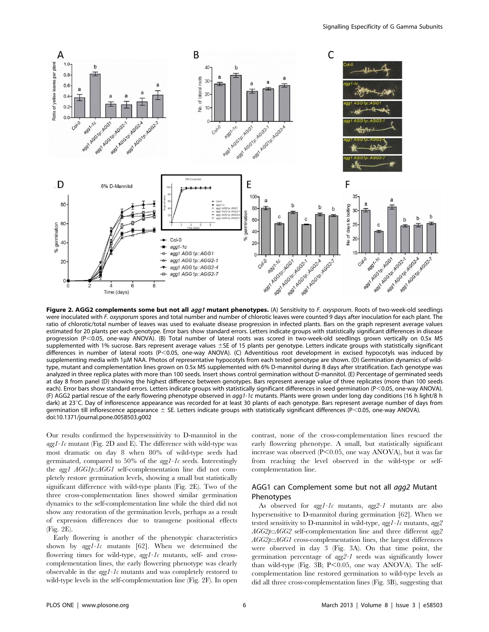

Figure 2. AGG2 complements some but not all agg1 mutant phenotypes. (A) Sensitivity to F. oxysporum. Roots of two-week-old seedlings were inoculated with F. oxysporum spores and total number and number of chlorotic leaves were counted 9 days after inoculation for each plant. The ratio of chlorotic/total number of leaves was used to evaluate disease progression in infected plants. Bars on the graph represent average values estimated for 20 plants per each genotype. Error bars show standard errors. Letters indicate groups with statistically significant differences in disease progression (P<0.05, one-way ANOVA). (B) Total number of lateral roots was scored in two-week-old seedlings grown vertically on 0.5x MS supplemented with 1% sucrose. Bars represent average values ±SE of 15 plants per genotype. Letters indicate groups with statistically significant differences in number of lateral roots (P<0.05, one-way ANOVA). (C) Adventitious root development in excised hypocotyls was induced by supplementing media with 1µM NAA. Photos of representative hypocotyls from each tested genotype are shown. (D) Germination dynamics of wildtype, mutant and complementation lines grown on 0.5x MS supplemented with 6% D-mannitol during 8 days after stratification. Each genotype was analyzed in three replica plates with more than 100 seeds. Insert shows control germination without D-mannitol. (E) Percentage of germinated seeds at day 8 from panel (D) showing the highest difference between genotypes. Bars represent average value of three replicates (more than 100 seeds each). Error bars show standard errors. Letters indicate groups with statistically significant differences in seed germination (P<0.05, one-way ANOVA). (F) AGG2 partial rescue of the early flowering phenotype observed in agg1-1c mutants. Plants were grown under long day conditions (16 h light/8 h dark) at  $23^{\circ}$ C. Day of inflorescence appearance was recorded for at least 30 plants of each genotype. Bars represent average number of days from germination till inflorescence appearance  $\pm$  SE. Letters indicate groups with statistically significant differences (P<0.05, one-way ANOVA). doi:10.1371/journal.pone.0058503.g002

Our results confirmed the hypersensitivity to D-mannitol in the  $agg1-lc$  mutant (Fig. 2D and E). The difference with wild-type was most dramatic on day 8 when 80% of wild-type seeds had germinated, compared to 50% of the  $qqqI-Ic$  seeds. Interestingly the agg1 AGG1p::AGG1 self-complementation line did not completely restore germination levels, showing a small but statistically significant difference with wild-type plants (Fig. 2E). Two of the three cross-complementation lines showed similar germination dynamics to the self-complementation line while the third did not show any restoration of the germination levels, perhaps as a result of expression differences due to transgene positional effects (Fig. 2E).

Early flowering is another of the phenotypic characteristics shown by  $agg1-Ic$  mutants [62]. When we determined the flowering times for wild-type, *agg1-1c* mutants, self- and crosscomplementation lines, the early flowering phenotype was clearly observable in the  $agg1-Ic$  mutants and was completely restored to wild-type levels in the self-complementation line (Fig. 2F). In open contrast, none of the cross-complementation lines rescued the early flowering phenotype. A small, but statistically significant increase was observed  $(P<0.05$ , one way ANOVA), but it was far from reaching the level observed in the wild-type or selfcomplementation line.

## AGG1 can Complement some but not all agg2 Mutant Phenotypes

As observed for  $agg1-Ic$  mutants,  $agg2-I$  mutants are also hypersensitive to D-mannitol during germination [62]. When we tested sensitivity to D-mannitol in wild-type,  $agg1-Ic$  mutants,  $agg2$ AGG2p::AGG2 self-complementation line and three different agg2 AGG2p::AGG1 cross-complementation lines, the largest differences were observed in day 3 (Fig. 3A). On that time point, the germination percentage of agg2-1 seeds was significantly lower than wild-type (Fig. 3B;  $P<0.05$ , one way ANOVA). The selfcomplementation line restored germination to wild-type levels as did all three cross-complementation lines (Fig. 3B), suggesting that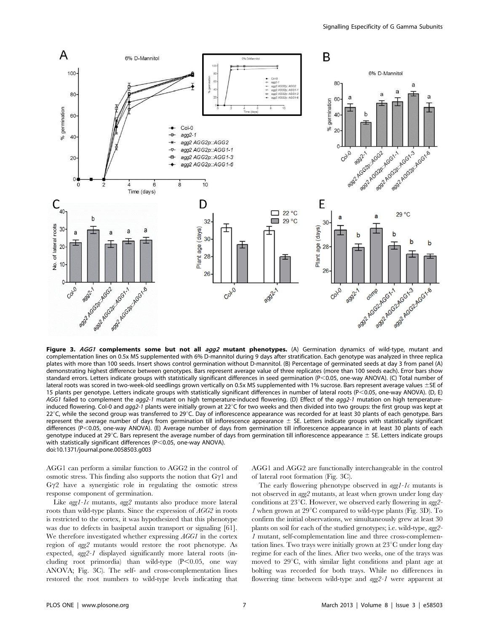

Figure 3. AGG1 complements some but not all agg2 mutant phenotypes. (A) Germination dynamics of wild-type, mutant and complementation lines on 0.5x MS supplemented with 6% D-mannitol during 9 days after stratification. Each genotype was analyzed in three replica plates with more than 100 seeds. Insert shows control germination without D-mannitol. (B) Percentage of germinated seeds at day 3 from panel (A) demonstrating highest difference between genotypes. Bars represent average value of three replicates (more than 100 seeds each). Error bars show standard errors. Letters indicate groups with statistically significant differences in seed germination (P<0.05, one-way ANOVA). (C) Total number of lateral roots was scored in two-week-old seedlings grown vertically on 0.5x MS supplemented with 1% sucrose. Bars represent average values ±SE of 15 plants per genotype. Letters indicate groups with statistically significant differences in number of lateral roots (P<0.05, one-way ANOVA). (D, E) AGG1 failed to complement the agg2-1 mutant on high temperature-induced flowering. (D) Effect of the agg2-1 mutation on high temperatureinduced flowering. Col-0 and agg2-1 plants were initially grown at 22 $\degree$ C for two weeks and then divided into two groups: the first group was kept at 22°C, while the second group was transferred to 29°C. Day of inflorescence appearance was recorded for at least 30 plants of each genotype. Bars represent the average number of days from germination till inflorescence appearance  $\pm$  SE. Letters indicate groups with statistically significant differences (P<0.05, one-way ANOVA). (E) Average number of days from germination till inflorescence appearance in at least 30 plants of each genotype induced at 29°C. Bars represent the average number of days from germination till inflorescence appearance  $\pm$  SE. Letters indicate groups with statistically significant differences ( $P<0.05$ , one-way ANOVA). doi:10.1371/journal.pone.0058503.g003

AGG1 can perform a similar function to AGG2 in the control of osmotic stress. This finding also supports the notion that  $Gyl$  and  $G\gamma2$  have a synergistic role in regulating the osmotic stress response component of germination.

Like agg1-1c mutants, agg2 mutants also produce more lateral roots than wild-type plants. Since the expression of AGG2 in roots is restricted to the cortex, it was hypothesized that this phenotype was due to defects in basipetal auxin transport or signaling [61]. We therefore investigated whether expressing AGG1 in the cortex region of agg2 mutants would restore the root phenotype. As expected, agg2-1 displayed significantly more lateral roots (including root primordia) than wild-type  $(P<0.05$ , one way ANOVA; Fig. 3C). The self- and cross-complementation lines restored the root numbers to wild-type levels indicating that

AGG1 and AGG2 are functionally interchangeable in the control of lateral root formation (Fig. 3C).

The early flowering phenotype observed in  $\frac{agg1-Ic}{}$  mutants is not observed in agg2 mutants, at least when grown under long day conditions at  $23^{\circ}$ C. However, we observed early flowering in agg2- $1$  when grown at  $29^{\circ}$ C compared to wild-type plants (Fig. 3D). To confirm the initial observations, we simultaneously grew at least 30 plants on soil for each of the studied genotypes; i.e. wild-type, agg2- 1 mutant, self-complementation line and three cross-complementation lines. Two trays were initially grown at  $23^{\circ}$ C under long day regime for each of the lines. After two weeks, one of the trays was moved to  $29^{\circ}$ C, with similar light conditions and plant age at bolting was recorded for both trays. While no differences in flowering time between wild-type and agg2-1 were apparent at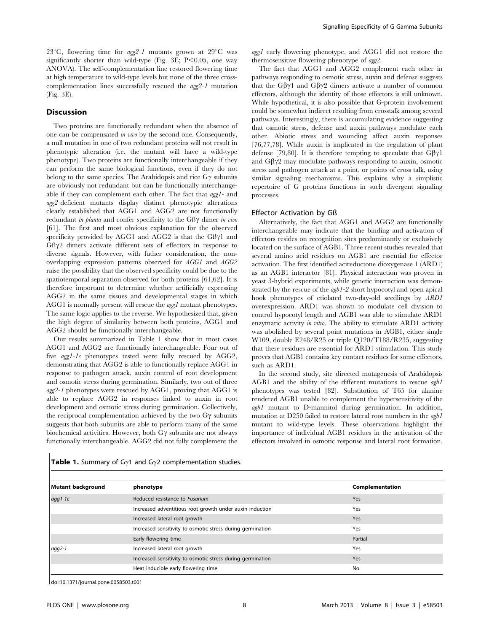23<sup>°</sup>C, flowering time for *agg2-1* mutants grown at 29<sup>°</sup>C was significantly shorter than wild-type (Fig. 3E;  $P<0.05$ , one way ANOVA). The self-complementation line restored flowering time at high temperature to wild-type levels but none of the three crosscomplementation lines successfully rescued the agg2-1 mutation (Fig. 3E).

## Discussion

Two proteins are functionally redundant when the absence of one can be compensated in vivo by the second one. Consequently, a null mutation in one of two redundant proteins will not result in phenotypic alteration (i.e. the mutant will have a wild-type phenotype). Two proteins are functionally interchangeable if they can perform the same biological functions, even if they do not belong to the same species. The Arabidopsis and rice  $G\gamma$  subunits are obviously not redundant but can be functionally interchangeable if they can complement each other. The fact that agg1- and agg2-deficient mutants display distinct phenotypic alterations clearly established that AGG1 and AGG2 are not functionally redundant in planta and confer specificity to the GB $\gamma$  dimer in vivo [61]. The first and most obvious explanation for the observed specificity provided by AGG1 and AGG2 is that the GB $\gamma$ 1 and  $G\beta\gamma2$  dimers activate different sets of effectors in response to diverse signals. However, with futher consideration, the nonoverlapping expression patterns observed for AGG1 and AGG2 raise the possibility that the observed specificity could be due to the spatiotemporal separation observed for both proteins [61,62]. It is therefore important to determine whether artificially expressing AGG2 in the same tissues and developmental stages in which AGG1 is normally present will rescue the agg1 mutant phenotypes. The same logic applies to the reverse. We hypothesized that, given the high degree of similarity between both proteins, AGG1 and AGG2 should be functionally interchangeable.

Our results summarized in Table 1 show that in most cases AGG1 and AGG2 are functionally interchangeable. Four out of five agg1-1c phenotypes tested were fully rescued by AGG2, demonstrating that AGG2 is able to functionally replace AGG1 in response to pathogen attack, auxin control of root development and osmotic stress during germination. Similarly, two out of three agg2-1 phenotypes were rescued by AGG1, proving that AGG1 is able to replace AGG2 in responses linked to auxin in root development and osmotic stress during germination. Collectively, the reciprocal complementation achieved by the two  $G\gamma$  subunits suggests that both subunits are able to perform many of the same biochemical activities. However, both  $G\gamma$  subunits are not always functionally interchangeable. AGG2 did not fully complement the agg1 early flowering phenotype, and AGG1 did not restore the thermosensitive flowering phenotype of agg2.

The fact that AGG1 and AGG2 complement each other in pathways responding to osmotic stress, auxin and defense suggests that the G $\beta\gamma$ 1 and G $\beta\gamma$ 2 dimers activate a number of common effectors, although the identity of those effectors is still unknown. While hypothetical, it is also possible that G-protein involvement could be somewhat indirect resulting from crosstalk among several pathways. Interestingly, there is accumulating evidence suggesting that osmotic stress, defense and auxin pathways modulate each other. Abiotic stress and wounding affect auxin responses [76,77,78]. While auxin is implicated in the regulation of plant defense [79,80]. It is therefore tempting to speculate that  $G\beta\gamma1$ and  $G\beta\gamma$ 2 may modulate pathways responding to auxin, osmotic stress and pathogen attack at a point, or points of cross talk, using similar signaling mechanisms. This explains why a simplistic repertoire of G proteins functions in such divergent signaling processes.

#### Effector Activation by Gß

Alternatively, the fact that AGG1 and AGG2 are functionally interchangeable may indicate that the binding and activation of effectors resides on recognition sites predominantly or exclusively located on the surface of AGB1. Three recent studies revealed that several amino acid residues on AGB1 are essential for effector activation. The first identified acireductone dioxygenase 1 (ARD1) as an AGB1 interactor [81]. Physical interaction was proven in yeast 3-hybrid experiments, while genetic interaction was demonstrated by the rescue of the *agb1*-2 short hypocotyl and open apical hook phenotypes of etiolated two-day-old seedlings by ARD1 overexpression. ARD1 was shown to modulate cell division to control hypocotyl length and AGB1 was able to stimulate ARD1 enzymatic activity in vitro. The ability to stimulate ARD1 activity was abolished by several point mutations in AGB1, either single W109, double E248/R25 or triple Q120/T188/R235, suggesting that these residues are essential for ARD1 stimulation. This study proves that AGB1 contains key contact residues for some effectors, such as ARD1.

In the second study, site directed mutagenesis of Arabidopsis AGB1 and the ability of the different mutations to rescue agb1 phenotypes was tested [82]. Substitution of T65 for alanine rendered AGB1 unable to complement the hypersensitivity of the agb1 mutant to D-mannitol during germination. In addition, mutation at D250 failed to restore lateral root numbers in the *agb1* mutant to wild-type levels. These observations highlight the importance of individual AGB1 residues in the activation of the effectors involved in osmotic response and lateral root formation.

| Mutant background | phenotype                                                  | Complementation |
|-------------------|------------------------------------------------------------|-----------------|
| $aqq1-1c$         | Reduced resistance to Fusarium                             | <b>Yes</b>      |
|                   | Increased adventitious root growth under auxin induction   | Yes             |
|                   | Increased lateral root growth                              | <b>Yes</b>      |
|                   | Increased sensitivity to osmotic stress during germination | Yes             |
|                   | Early flowering time                                       | Partial         |
| $aqq2-1$          | Increased lateral root growth                              | Yes             |
|                   | Increased sensitivity to osmotic stress during germination | <b>Yes</b>      |
|                   | Heat inducible early flowering time                        | No              |

Table 1. Summary of G $\gamma$ 1 and G $\gamma$ 2 complementation studies.

doi:10.1371/journal.pone.0058503.t001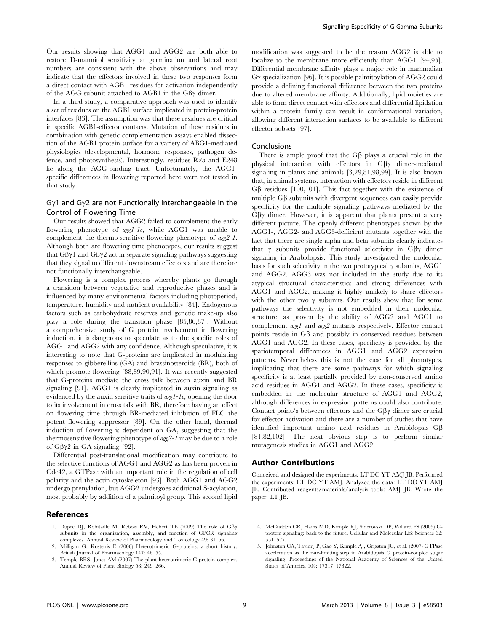Our results showing that AGG1 and AGG2 are both able to restore D-mannitol sensitivity at germination and lateral root numbers are consistent with the above observations and may indicate that the effectors involved in these two responses form a direct contact with AGB1 residues for activation independently of the AGG subunit attached to AGB1 in the  $\text{GB}\gamma$  dimer.

In a third study, a comparative approach was used to identify a set of residues on the AGB1 surface implicated in protein-protein interfaces [83]. The assumption was that these residues are critical in specific AGB1-effector contacts. Mutation of these residues in combination with genetic complementation assays enabled dissection of the AGB1 protein surface for a variety of ABG1-mediated physiologies (developmental, hormone responses, pathogen defense, and photosynthesis). Interestingly, residues R25 and E248 lie along the AGG-binding tract. Unfortunately, the AGG1 specific differences in flowering reported here were not tested in that study.

## $G\gamma$ 1 and  $G\gamma$ 2 are not Functionally Interchangeable in the Control of Flowering Time

Our results showed that AGG2 failed to complement the early flowering phenotype of  $agg1-Ic$ , while AGG1 was unable to complement the thermo-sensitive flowering phenotype of agg2-1. Although both are flowering time phenotypes, our results suggest that  $GB\gamma1$  and  $GB\gamma2$  act in separate signaling pathways suggesting that they signal to different downstream effectors and are therefore not functionally interchangeable.

Flowering is a complex process whereby plants go through a transition between vegetative and reproductive phases and is influenced by many environmental factors including photoperiod, temperature, humidity and nutrient availability [84]. Endogenous factors such as carbohydrate reserves and genetic make-up also play a role during the transition phase [85,86,87]. Without a comprehensive study of G protein involvement in flowering induction, it is dangerous to speculate as to the specific roles of AGG1 and AGG2 with any confidence. Although speculative, it is interesting to note that G-proteins are implicated in modulating responses to gibberellins (GA) and brassinosteroids (BR), both of which promote flowering [88,89,90,91]. It was recently suggested that G-proteins mediate the cross talk between auxin and BR signaling [91]. AGG1 is clearly implicated in auxin signaling as evidenced by the auxin sensitive traits of  $agg1-Ic$ , opening the door to its involvement in cross talk with BR, therefore having an effect on flowering time through BR-mediated inhibition of FLC the potent flowering suppressor [89]. On the other hand, thermal induction of flowering is dependent on GA, suggesting that the thermosensitive flowering phenotype of agg2-1 may be due to a role of  $G\beta\gamma2$  in GA signaling [92].

Differential post-translational modification may contribute to the selective functions of AGG1 and AGG2 as has been proven in Cdc42, a GTPase with an important role in the regulation of cell polarity and the actin cytoskeleton [93]. Both AGG1 and AGG2 undergo prenylation, but AGG2 undergoes additional S-acylation, most probably by addition of a palmitoyl group. This second lipid

## References

- 1. Dupre DJ, Robitaille M, Rebois RV, Hebert TE (2009) The role of  $G\beta\gamma$ subunits in the organization, assembly, and function of GPCR signaling complexes. Annual Review of Pharmacology and Toxicology 49: 31–56.
- 2. Milligan G, Kostenis E (2006) Heterotrimeric G-proteins: a short history. British Journal of Pharmacology 147: 46–55.
- 3. Temple BRS, Jones AM (2007) The plant heterotrimeric G-protein complex. Annual Review of Plant Biology 58: 249–266.

modification was suggested to be the reason AGG2 is able to localize to the membrane more efficiently than AGG1 [94,95]. Differential membrane affinity plays a major role in mammalian  $G\gamma$  specialization [96]. It is possible palmitoylation of AGG2 could provide a defining functional difference between the two proteins due to altered membrane affinity. Additionally, lipid moieties are able to form direct contact with effectors and differential lipidation within a protein family can result in conformational variation, allowing different interaction surfaces to be available to different effector subsets [97].

#### Conclusions

There is ample proof that the  $G\beta$  plays a crucial role in the physical interaction with effectors in  $G\beta\gamma$  dimer-mediated signaling in plants and animals [3,29,81,98,99]. It is also known that, in animal systems, interaction with effectors reside in different G $\beta$  residues [100,101]. This fact together with the existence of multiple  $G\beta$  subunits with divergent sequences can easily provide specificity for the multiple signaling pathways mediated by the  $G\beta\gamma$  dimer. However, it is apparent that plants present a very different picture. The openly different phenotypes shown by the AGG1-, AGG2- and AGG3-defficient mutants together with the fact that there are single alpha and beta subunits clearly indicates that  $\gamma$  subunits provide functional selectivity in G $\beta\gamma$  dimer signaling in Arabidopsis. This study investigated the molecular basis for such selectivity in the two prototypical  $\gamma$  subunits, AGG1 and AGG2. AGG3 was not included in the study due to its atypical structural characteristics and strong differences with AGG1 and AGG2, making it highly unlikely to share effectors with the other two  $\gamma$  subunits. Our results show that for some pathways the selectivity is not embedded in their molecular structure, as proven by the ability of AGG2 and AGG1 to complement agg1 and agg2 mutants respectively. Effector contact points reside in  $G\beta$  and possibly in conserved residues between AGG1 and AGG2. In these cases, specificity is provided by the spatiotemporal differences in AGG1 and AGG2 expression patterns. Nevertheless this is not the case for all phenotypes, implicating that there are some pathways for which signaling specificity is at least partially provided by non-conserved amino acid residues in AGG1 and AGG2. In these cases, specificity is embedded in the molecular structure of AGG1 and AGG2, although differences in expression patterns could also contribute. Contact point/s between effectors and the  $G\beta\gamma$  dimer are crucial for effector activation and there are a number of studies that have identified important amino acid residues in Arabidopsis Gb [81,82,102]. The next obvious step is to perform similar mutagenesis studies in AGG1 and AGG2.

#### Author Contributions

Conceived and designed the experiments: LT DC YT AMJ JB. Performed the experiments: LT DC YT AMJ. Analyzed the data: LT DC YT AMJ JB. Contributed reagents/materials/analysis tools: AMJ JB. Wrote the paper: LT JB.

- 4. McCudden CR, Hains MD, Kimple RJ, Siderovski DP, Willard FS (2005) Gprotein signaling: back to the future. Cellular and Molecular Life Sciences 62: 551–577.
- 5. Johnston CA, Taylor JP, Gao Y, Kimple AJ, Grigston JC, et al. (2007) GTPase acceleration as the rate-limiting step in Arabidopsis G protein-coupled sugar signaling. Proceedings of the National Academy of Sciences of the United States of America 104: 17317–17322.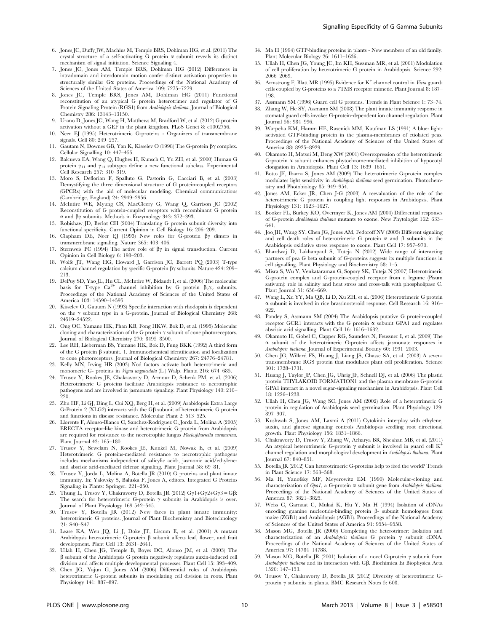- 6. Jones JC, Duffy JW, Machius M, Temple BRS, Dohlman HG, et al. (2011) The crystal structure of a self-activating  $G$  protein  $\alpha$  subunit reveals its distinct mechanism of signal initiation. Science Signaling 4.
- 7. Jones JC, Jones AM, Temple BRS, Dohlman HG (2012) Differences in intradomain and interdomain motion confer distinct activation properties to structurally similar Ga proteins. Proceedings of the National Academy of Sciences of the United States of America 109: 7275–7279.
- 8. Jones JC, Temple BRS, Jones AM, Dohlman HG (2011) Functional reconstitution of an atypical G protein heterotrimer and regulator of G Protein Signaling Protein (RGS1) from Arabidopsis thaliana. Journal of Biological Chemistry 286: 13143–13150.
- 9. Urano D, Jones JC, Wang H, Matthews M, Bradford W, et al. (2012) G protein activation without a GEF in the plant kingdom. PLoS Genet 8: e1002756.
- 10. Neer EJ (1995) Heterotrimeric G-proteins Organizers of transmembrane signals<sub>.</sub> Cell 80: 249-257.
- 11. Gautam N, Downes GB, Yan K, Kisselev O (1998) The G-protein  $\beta\gamma$  complex. Cellular Signalling 10: 447–455.
- 12. Balcueva EA, Wang Q, Hughes H, Kunsch C, Yu ZH, et al. (2000) Human G protein  $\gamma_{11}$  and  $\gamma_{14}$  subtypes define a new functional subclass. Experimental Cell Research 257: 310–319.
- 13. Moro S, Deflorian F, Spalluto G, Pastorin G, Cacciari B, et al. (2003) Demystifying the three dimensional structure of G protein-coupled receptors (GPCRs) with the aid of molecular modeling. Chemical communications (Cambridge, England) 24: 2949–2956.
- 14. McIntire WE, Myung CS, MacCleery G, Wang Q, Garrison JC (2002) Reconstitution of G protein-coupled receptors with recombinant G protein  $\alpha$  and  $\beta\gamma$  subunits. Methods in Enzymology 343: 372–393.
- 15. Robishaw JD, Berlot CH (2004) Translating G protein subunit diversity into functional specificity. Current Opinion in Cell Biology 16: 206–209.
- 16. Clapham DE, Neer EJ (1993) New roles for  $G$ -protein  $\beta\gamma$  dimers in transmembrane signaling. Nature 365: 403–406.
- 17. Sternweis PC (1994) The active role of  $\beta\gamma$  in signal transduction. Current Opinion in Cell Biology 6: 198–203.
- 18. Wolfe JT, Wang HG, Howard J, Garrison JC, Barrett PQ (2003) T-type calcium channel regulation by specific G-protein  $\beta\gamma$  subunits. Nature 424: 209– 213.
- 19. DePuy SD, Yao JL, Hu CL, McIntire W, Bidaudt I, et al. (2006) The molecular basis for T-type  $Ca^{2+}$  channel inhibition by G protein  $\beta_2 \gamma_2$  subunits. Proceedings of the National Academy of Sciences of the United States of America 103: 14590–14595.
- 20. Kisselev O, Gautam N (1993) Specific interaction with rhodopsin is dependent on the  $\gamma$  subunit type in a G-protein. Journal of Biological Chemistry 268: 24519–24522.
- 21. Ong OC, Yamane HK, Phan KB, Fong HKW, Bok D, et al. (1995) Molecular cloning and characterization of the G protein  $\gamma$  subunit of cone photoreceptors. Journal of Biological Chemistry 270: 8495–8500.
- 22. Lee RH, Lieberman BS, Yamane HK, Bok D, Fung BKK (1992) A third form of the G protein  $\beta$  subunit. 1. Immunochemical identification and localization to cone photoreceptors. Journal of Biological Chemistry 267: 24776–24781.
- 23. Kelly MN, Irving HR (2003) Nod factors activate both heterotrimeric and monomeric G- proteins in Vigna unguiculata (L.) Walp. Planta 216: 674–685.
- 24. Trusov Y, Rookes JE, Chakravorty D, Armour D, Schenk PM, et al. (2006) Heterotrimeric G proteins facilitate Arabidopsis resistance to necrotrophic pathogens and are involved in jasmonate signaling. Plant Physiology 140: 210– 220.
- 25. Zhu HF, Li GJ, Ding L, Cui XQ, Berg H, et al. (2009) Arabidopsis Extra Large G-Protein 2 (XLG2) interacts with the  $G\beta$  subunit of heterotrimeric  $G$  protein and functions in disease resistance. Molecular Plant 2: 513–525.
- 26. Llorente F, Alonso-Blanco C, Sanchez-Rodriguez C, Jorda L, Molina A (2005) ERECTA receptor-like kinase and heterotrimeric G protein from Arabidopsis are required for resistance to the necrotrophic fungus Plectosphaerella cucumerina. Plant Journal 43: 165–180.
- 27. Trusov Y, Sewelam N, Rookes JE, Kunkel M, Nowak E, et al. (2009) Heterotrimeric G proteins-mediated resistance to necrotrophic pathogens includes mechanisms independent of salicylic acid-, jasmonic acid/ethyleneand abscisic acid-mediated defense signaling. Plant Journal 58: 69–81.
- 28. Trusov Y, Jorda L, Molina A, Botella JR (2010) G proteins and plant innate immunity. In: Yalovsky S, Baluska F, Jones A, editors. Integrated G Proteins Signaling in Plants: Springer. 221–250.
- Thung L, Trusov Y, Chakravorty D, Botella JR (2012)  $G\gamma 1 + G\gamma 2 + G\gamma 3 = G\beta$ : The search for heterotrimeric G-protein  $\gamma$  subunits in Arabidopsis is over. Journal of Plant Physiology 169 542–545.
- 30. Trusov Y, Botella JR (2012) New faces in plant innate immunity: heterotrimeric G proteins. Journal of Plant Biochemistry and Biotechnology 21: S40–S47.
- 31. Lease KA, Wen JQ, Li J, Doke JT, Liscum E, et al. (2001) A mutant Arabidopsis heterotrimeric G-protein  $\beta$  subunit affects leaf, flower, and fruit development. Plant Cell 13: 2631–2641.
- 32. Ullah H, Chen JG, Temple B, Boyes DC, Alonso JM, et al. (2003) The  $\beta$  subunit of the Arabidopsis G protein negatively regulates auxin-induced cell division and affects multiple developmental processes. Plant Cell 15: 393–409.
- 33. Chen JG, Yajun G, Jones AM (2006) Differential roles of Arabidopsis heterotrimeric G-protein subunits in modulating cell division in roots. Plant Physiology 141: 887–897.
- 34. Ma H (1994) GTP-binding proteins in plants New members of an old family. Plant Molecular Biology 26: 1611–1636.
- 35. Ullah H, Chen JG, Young JC, Im KH, Sussman MR, et al. (2001) Modulation of cell proliferation by heterotrimeric G protein in Arabidopsis. Science 292: 2066–2069.
- 36. Armstrong F, Blatt MR (1995) Evidence for  $K^+$  channel control in *Vicia* guardcells coupled by G-proteins to a 7TMS receptor mimetic. Plant Journal 8: 187– 198.
- 37. Assmann SM (1996) Guard cell G proteins. Trends in Plant Science 1: 73–74.
- Zhang W, He SY, Assmann SM (2008) The plant innate immunity response in stomatal guard cells invokes G-protein-dependent ion channel regulation. Plant Journal 56: 984–996.
- 39. Warpeha KM, Hamm HE, Rasenick MM, Kaufman LS (1991) A blue- lightactivated GTP-binding protein in the plasma-membranes of etiolated peas. Proceedings of the National Academy of Sciences of the United States of America 88: 8925–8929.
- 40. Okamoto H, Matsui M, Deng XW (2001) Overexpression of the heterotrimeric G-protein  $\alpha$  subunit enhances phytochrome-mediated inhibition of hypocotyl elongation in Arabidopsis. Plant Cell 13: 1639–1651.
- 41. Botto JF, Ibarra S, Jones AM (2009) The heterotrimeric G-protein complex modulates light sensitivity in Arabidopsis thaliana seed germination. Photochemistry and Photobiology 85: 949–954.
- Jones AM, Ecker JR, Chen J-G (2003) A reevaluation of the role of the heterotrimeric G protein in coupling light responses in Arabidopsis. Plant Physiology 131: 1623–1627.
- 43. Booker FL, Burkey KO, Overmyer K, Jones AM (2004) Differential responses of G-protein Arabidopsis thaliana mutants to ozone. New Phytologist 162: 633– 641.
- 44. Joo JH, Wang SY, Chen JG, Jones AM, Fedoroff NV (2005) Different signaling and cell death roles of heterotrimeric G protein  $\alpha$  and  $\beta$  subunits in the Arabidopsis oxidative stress response to ozone. Plant Cell 17: 957–970.
- 45. Bhardwaj D, Lakhanpaul S, Tuteja N (2012) Wide range of interacting partners of pea G beta subunit of G-proteins suggests its multiple functions in cell signalling. Plant Physiology and Biochemistry 58: 1–5.
- 46. Misra S, Wu Y, Venkataraman G, Sopory SK, Tuteja N (2007) Heterotrimeric G-protein complex and G-protein-coupled receptor from a legume (Pisum sativum): role in salinity and heat stress and cross-talk with phospholipase C. Plant Journal 51: 656–669.
- 47. Wang L, Xu YY, Ma QB, Li D, Xu ZH, et al. (2006) Heterotrimeric G protein a subunit is involved in rice brassinosteroid response. Cell Research 16: 916– 922.
- 48. Pandey S, Assmann SM (2004) The Arabidopsis putative G protein-coupled receptor GCR1 interacts with the G protein  $\alpha$  subunit GPA1 and regulates abscisic acid signalling. Plant Cell 16: 1616–1632.
- 49. Okamoto H, Gobel C, Capper RG, Saunders N, Feussner I, et al. (2009) The a subunit of the heterotrimeric G-protein affects jasmonate responses in Arabidopsis thaliana. Journal of Experimental Botany 60: 1991–2003.
- 50. Chen JG, Willard FS, Huang J, Liang JS, Chasse SA, et al. (2003) A seventransmembrane RGS protein that modulates plant cell proliferation. Science 301: 1728–1731.
- 51. Huang J, Taylor JP, Chen JG, Uhrig JF, Schnell DJ, et al. (2006) The plastid protein THYLAKOID FORMATION1 and the plasma membrane G-protein GPA1 interact in a novel sugar-signaling mechanism in Arabidopsis. Plant Cell 18: 1226–1238.
- 52. Ullah H, Chen JG, Wang SC, Jones AM (2002) Role of a heterotrimeric G protein in regulation of Arabidopsis seed germination. Plant Physiology 129: 897–907.
- 53. Kushwah S, Jones AM, Laxmi A (2011) Cytokinin interplay with ethylene, auxin, and glucose signaling controls Arabidopsis seedling root directional growth. Plant Physiology 156: 1851–1866.
- 54. Chakravorty D, Trusov Y, Zhang W, Acharya BR, Sheahan MB, et al. (2011) An atypical heterotrimeric G-protein  $\gamma$  subunit is involved in guard cell K<sup>+</sup> channel regulation and morphological development in Arabidopsis thaliana. Plant Journal 67: 840–851.
- 55. Botella JR (2012) Can heterotrimeric G-proteins help to feed the world? Trends in Plant Science 17: 563–568.
- 56. Ma H, Yanofsky MF, Meyerowitz EM (1990) Molecular-cloning and characterization of  $Gpa1$ , a G-protein  $\alpha$  subunit gene from Arabidopsis thalian Proceedings of the National Academy of Sciences of the United States of America 87: 3821–3825.
- 57. Weiss C, Garnaat C, Mukai K, Hu Y, Ma H (1994) Isolation of cDNAs encoding guanine nucleotide-binding protein b- subunit homologues from maize (ZGB1) and Arabidopsis (AGB1). Proceedings of the National Academy of Sciences of the United States of America 91: 9554–9558.
- 58. Mason MG, Botella JR (2000) Completing the heterotrimer: Isolation and characterization of an Arabidopsis thaliana G protein  $\gamma$  subunit cDNA. Proceedings of the National Academy of Sciences of the United States of America 97: 14784–14788.
- 59. Mason MG, Botella JR (2001) Isolation of a novel G-protein  $\gamma$  subunit from Arabidopsis thaliana and its interaction with GB. Biochimica Et Biophysica Acta 1520: 147–153.
- 60. Trusov Y, Chakravorty D, Botella JR (2012) Diversity of heterotrimeric Gprotein  $\gamma$  subunits in plants. BMC Research Notes 5: 608.